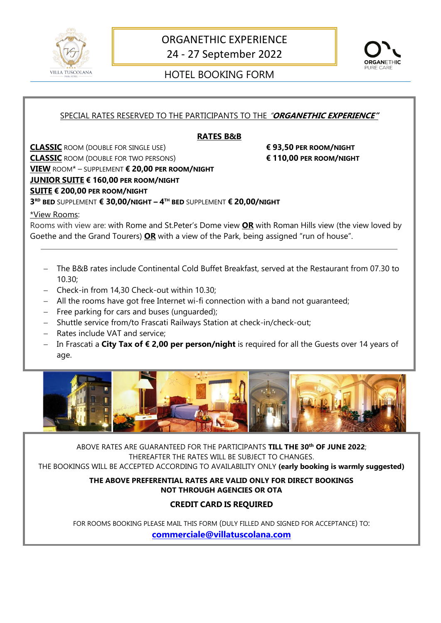



# VILLA TUSCOLANA (NATIONAL PORTEL BOOKING FORM

### SPECIAL RATES RESERVED TO THE PARTICIPANTS TO THE "**ORGANETHIC EXPERIENCE"**

#### **RATES B&B**

**CLASSIC** ROOM (DOUBLE FOR SINGLE USE) **€ 93,50 PER ROOM/NIGHT CLASSIC** ROOM (DOUBLE FOR TWO PERSONS) **€ 110,00 PER ROOM/NIGHT VIEW** ROOM\* – SUPPLEMENT **€ 20,00 PER ROOM/NIGHT JUNIOR SUITE € 160,00 PER ROOM/NIGHT SUITE € 200,00 PER ROOM/NIGHT** 

**3 RD BED** SUPPLEMENT **€ 30,00/NIGHT – 4 TH BED** SUPPLEMENT **€ 20,00/NIGHT**

\*View Rooms:

Rooms with view are: with Rome and St.Peter's Dome view **OR** with Roman Hills view (the view loved by Goethe and the Grand Tourers) **OR** with a view of the Park, being assigned "run of house".

- − The B&B rates include Continental Cold Buffet Breakfast, served at the Restaurant from 07.30 to 10.30;
- − Check-in from 14,30 Check-out within 10.30;
- − All the rooms have got free Internet wi-fi connection with a band not guaranteed;
- − Free parking for cars and buses (unguarded);
- − Shuttle service from/to Frascati Railways Station at check-in/check-out;
- − Rates include VAT and service;
- − In Frascati a **City Tax of € 2,00 per person/night** is required for all the Guests over 14 years of age.



ABOVE RATES ARE GUARANTEED FOR THE PARTICIPANTS **TILL THE 30th OF JUNE 2022**; THEREAFTER THE RATES WILL BE SUBJECT TO CHANGES.

THE BOOKINGS WILL BE ACCEPTED ACCORDING TO AVAILABILITY ONLY **(early booking is warmly suggested)**

**THE ABOVE PREFERENTIAL RATES ARE VALID ONLY FOR DIRECT BOOKINGS NOT THROUGH AGENCIES OR OTA**

### **CREDIT CARD IS REQUIRED**

FOR ROOMS BOOKING PLEASE MAIL THIS FORM (DULY FILLED AND SIGNED FOR ACCEPTANCE) TO: **[commerciale@villatuscolana.com](mailto:commerciale@villatuscolana.com)**